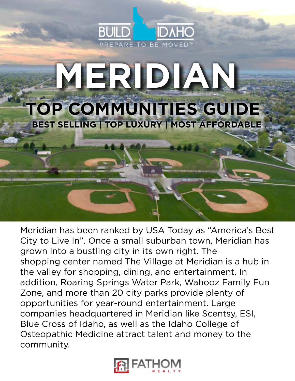

## **MERIDIAN TOP COMMUNITIES GUIDE BEST SELLING | TOP LUXURY | MOST AFFORDABLE**

Meridian has been ranked by USA Today as "America's Best City to Live In". Once a small suburban town, Meridian has grown into a bustling city in its own right. The shopping center named The Village at Meridian is a hub in the valley for shopping, dining, and entertainment. In addition, Roaring Springs Water Park, Wahooz Family Fun Zone, and more than 20 city parks provide plenty of opportunities for year-round entertainment. Large companies headquartered in Meridian like Scentsy, ESI, Blue Cross of Idaho, as well as the Idaho College of Osteopathic Medicine attract talent and money to the community.